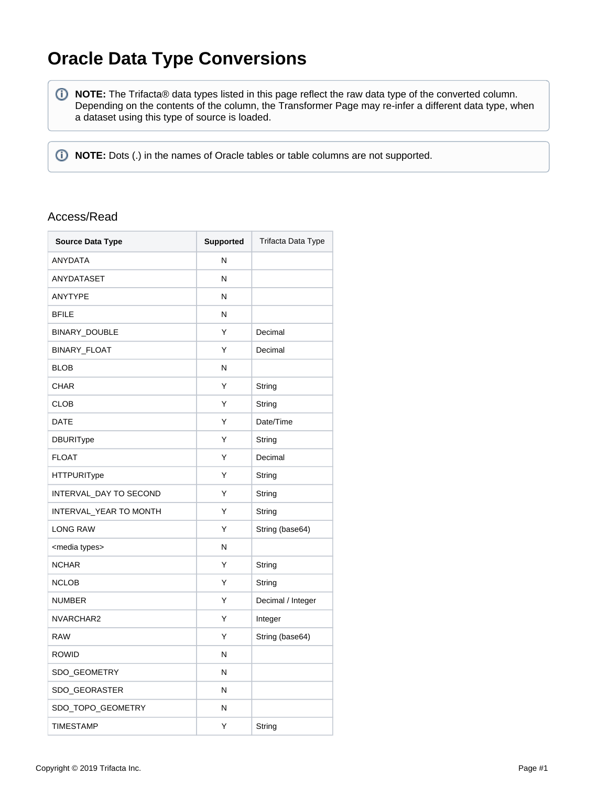## **Oracle Data Type Conversions**

**NOTE:** The Trifacta® data types listed in this page reflect the raw data type of the converted column. Depending on the contents of the column, the Transformer Page may re-infer a different data type, when a dataset using this type of source is loaded.

*I* NOTE: Dots (.) in the names of Oracle tables or table columns are not supported.

## Access/Read

| <b>Source Data Type</b>  | <b>Supported</b> | Trifacta Data Type |
|--------------------------|------------------|--------------------|
| <b>ANYDATA</b>           | N                |                    |
| ANYDATASET               | N                |                    |
| <b>ANYTYPE</b>           | N                |                    |
| <b>BFILE</b>             | N                |                    |
| BINARY_DOUBLE            | Υ                | Decimal            |
| BINARY_FLOAT             | Υ                | Decimal            |
| <b>BLOB</b>              | N                |                    |
| <b>CHAR</b>              | Υ                | String             |
| <b>CLOB</b>              | Υ                | String             |
| <b>DATE</b>              | Υ                | Date/Time          |
| <b>DBURIType</b>         | Υ                | String             |
| <b>FLOAT</b>             | Υ                | Decimal            |
| <b>HTTPURIType</b>       | Υ                | String             |
| INTERVAL DAY TO SECOND   | Υ                | String             |
| INTERVAL_YEAR TO MONTH   | Υ                | String             |
| <b>LONG RAW</b>          | Υ                | String (base64)    |
| <media types=""></media> | N                |                    |
| <b>NCHAR</b>             | Υ                | String             |
| <b>NCLOB</b>             | Υ                | String             |
| <b>NUMBER</b>            | Y                | Decimal / Integer  |
| NVARCHAR2                | Υ                | Integer            |
| <b>RAW</b>               | Υ                | String (base64)    |
| <b>ROWID</b>             | N                |                    |
| SDO_GEOMETRY             | N                |                    |
| SDO_GEORASTER            | N                |                    |
| SDO_TOPO_GEOMETRY        | N                |                    |
| <b>TIMESTAMP</b>         | Υ                | String             |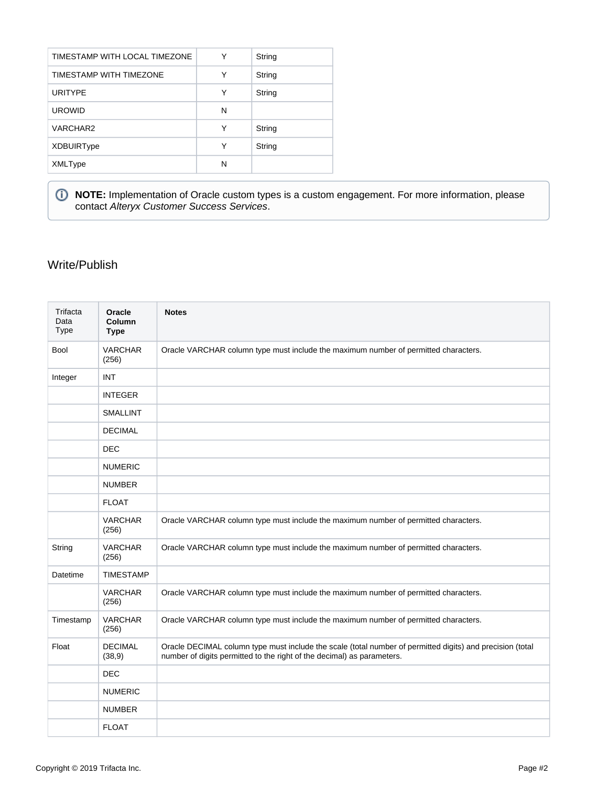| TIMESTAMP WITH LOCAL TIMEZONE<br>Υ<br>String<br>TIMESTAMP WITH TIMEZONE<br>Υ<br>String<br><b>URITYPE</b><br>Υ<br>String<br><b>UROWID</b><br>N<br>Υ<br>VARCHAR2<br>String<br>Υ<br>String<br><b>XDBUIRType</b><br>N<br>XMLType |  |  |
|------------------------------------------------------------------------------------------------------------------------------------------------------------------------------------------------------------------------------|--|--|
|                                                                                                                                                                                                                              |  |  |
|                                                                                                                                                                                                                              |  |  |
|                                                                                                                                                                                                                              |  |  |
|                                                                                                                                                                                                                              |  |  |
|                                                                                                                                                                                                                              |  |  |
|                                                                                                                                                                                                                              |  |  |
|                                                                                                                                                                                                                              |  |  |

**NOTE:** Implementation of Oracle custom types is a custom engagement. For more information, please contact [Alteryx Customer Success Services](https://www.trifacta.com/professional-services/).

## Write/Publish

| Trifacta<br>Data<br><b>Type</b> | Oracle<br>Column<br><b>Type</b> | <b>Notes</b>                                                                                                                                                                        |
|---------------------------------|---------------------------------|-------------------------------------------------------------------------------------------------------------------------------------------------------------------------------------|
| <b>Bool</b>                     | <b>VARCHAR</b><br>(256)         | Oracle VARCHAR column type must include the maximum number of permitted characters.                                                                                                 |
| Integer                         | <b>INT</b>                      |                                                                                                                                                                                     |
|                                 | <b>INTEGER</b>                  |                                                                                                                                                                                     |
|                                 | <b>SMALLINT</b>                 |                                                                                                                                                                                     |
|                                 | <b>DECIMAL</b>                  |                                                                                                                                                                                     |
|                                 | <b>DEC</b>                      |                                                                                                                                                                                     |
|                                 | <b>NUMERIC</b>                  |                                                                                                                                                                                     |
|                                 | <b>NUMBER</b>                   |                                                                                                                                                                                     |
|                                 | <b>FLOAT</b>                    |                                                                                                                                                                                     |
|                                 | <b>VARCHAR</b><br>(256)         | Oracle VARCHAR column type must include the maximum number of permitted characters.                                                                                                 |
| String                          | <b>VARCHAR</b><br>(256)         | Oracle VARCHAR column type must include the maximum number of permitted characters.                                                                                                 |
| Datetime                        | <b>TIMESTAMP</b>                |                                                                                                                                                                                     |
|                                 | <b>VARCHAR</b><br>(256)         | Oracle VARCHAR column type must include the maximum number of permitted characters.                                                                                                 |
| Timestamp                       | <b>VARCHAR</b><br>(256)         | Oracle VARCHAR column type must include the maximum number of permitted characters.                                                                                                 |
| Float                           | <b>DECIMAL</b><br>(38, 9)       | Oracle DECIMAL column type must include the scale (total number of permitted digits) and precision (total<br>number of digits permitted to the right of the decimal) as parameters. |
|                                 | <b>DEC</b>                      |                                                                                                                                                                                     |
|                                 | <b>NUMERIC</b>                  |                                                                                                                                                                                     |
|                                 | <b>NUMBER</b>                   |                                                                                                                                                                                     |
|                                 | <b>FLOAT</b>                    |                                                                                                                                                                                     |